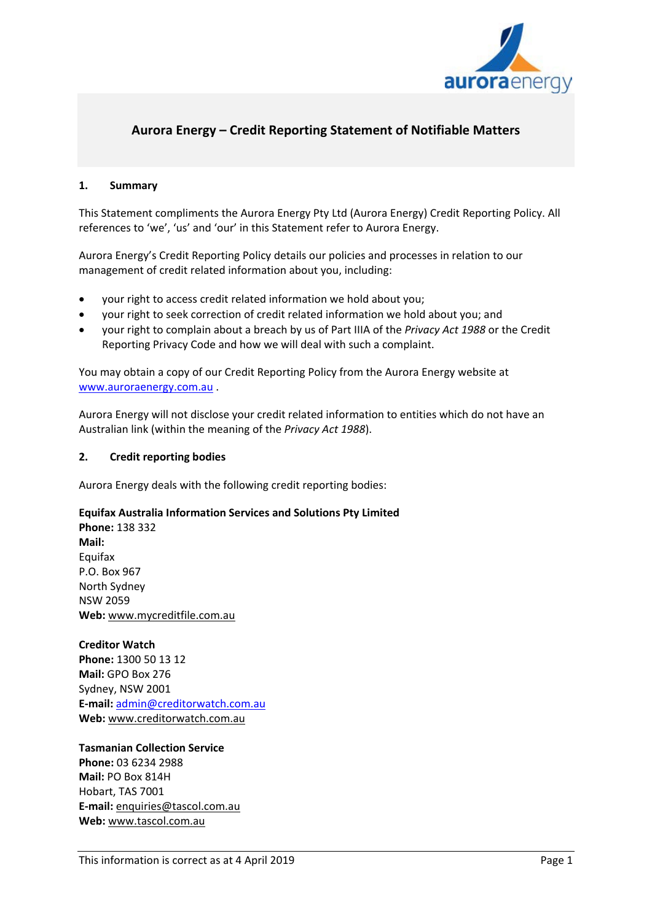

# **Aurora Energy – Credit Reporting Statement of Notifiable Matters**

## **1. Summary**

This Statement compliments the Aurora Energy Pty Ltd (Aurora Energy) Credit Reporting Policy. All references to 'we', 'us' and 'our' in this Statement refer to Aurora Energy.

Aurora Energy's Credit Reporting Policy details our policies and processes in relation to our management of credit related information about you, including:

- your right to access credit related information we hold about you;
- your right to seek correction of credit related information we hold about you; and
- your right to complain about a breach by us of Part IIIA of the *Privacy Act 1988* or the Credit Reporting Privacy Code and how we will deal with such a complaint.

You may obtain a copy of our Credit Reporting Policy from the Aurora Energy website at [www.auroraenergy.com.au](http://www.auroraenergy.com.au/) .

Aurora Energy will not disclose your credit related information to entities which do not have an Australian link (within the meaning of the *Privacy Act 1988*).

## **2. Credit reporting bodies**

Aurora Energy deals with the following credit reporting bodies:

#### **Equifax Australia Information Services and Solutions Pty Limited**

**Phone:** 138 332 **Mail:** Equifax P.O. Box 967 North Sydney NSW 2059 **Web:** [www.mycreditfile.com.au](https://www.mycreditfile.com.au/)

#### **Creditor Watch**

**Phone:** 1300 50 13 12 **Mail:** GPO Box 276 Sydney, NSW 2001 **E-mail:** [admin@creditorwatch.com.au](mailto:admin@creditorwatch.com.au) **Web:** [www.creditorwatch.com.au](http://www.creditorwatch.com.au/)

**Tasmanian Collection Service Phone:** 03 6234 2988 **Mail:** PO Box 814H Hobart, TAS 7001 **E-mail:** [enquiries@tascol.com.au](mailto:enquiries@tascol.com.au) **Web:** [www.tascol.com.au](http://www.tascol.com.au/)